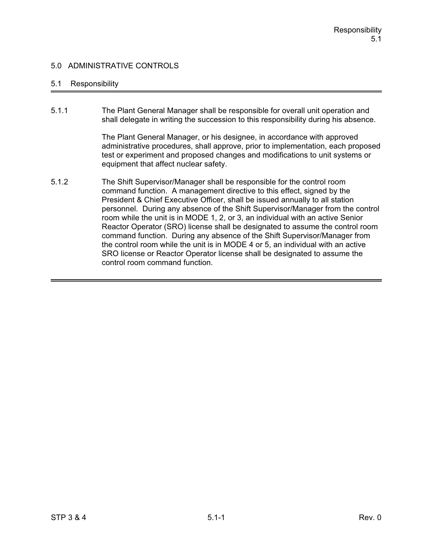## 5.1 Responsibility

5.1.1 The Plant General Manager shall be responsible for overall unit operation and shall delegate in writing the succession to this responsibility during his absence.

> The Plant General Manager, or his designee, in accordance with approved administrative procedures, shall approve, prior to implementation, each proposed test or experiment and proposed changes and modifications to unit systems or equipment that affect nuclear safety.

5.1.2 The Shift Supervisor/Manager shall be responsible for the control room command function. A management directive to this effect, signed by the President & Chief Executive Officer, shall be issued annually to all station personnel. During any absence of the Shift Supervisor/Manager from the control room while the unit is in MODE 1, 2, or 3, an individual with an active Senior Reactor Operator (SRO) license shall be designated to assume the control room command function. During any absence of the Shift Supervisor/Manager from the control room while the unit is in MODE 4 or 5, an individual with an active SRO license or Reactor Operator license shall be designated to assume the control room command function.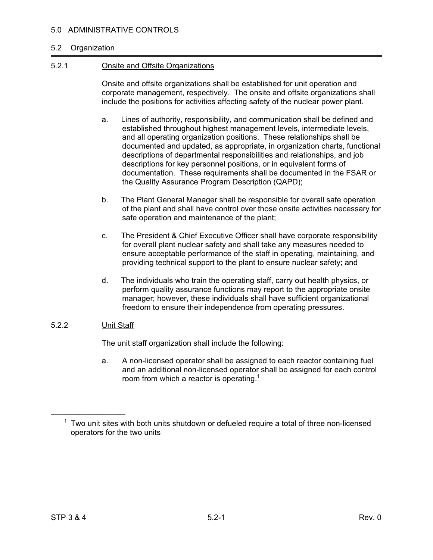#### 5.2 Organization

#### 5.2.1 Onsite and Offsite Organizations

Onsite and offsite organizations shall be established for unit operation and corporate management, respectively. The onsite and offsite organizations shall include the positions for activities affecting safety of the nuclear power plant.

- a. Lines of authority, responsibility, and communication shall be defined and established throughout highest management levels, intermediate levels, and all operating organization positions. These relationships shall be documented and updated, as appropriate, in organization charts, functional descriptions of departmental responsibilities and relationships, and job descriptions for key personnel positions, or in equivalent forms of documentation. These requirements shall be documented in the FSAR or the Quality Assurance Program Description (QAPD);
- b. The Plant General Manager shall be responsible for overall safe operation of the plant and shall have control over those onsite activities necessary for safe operation and maintenance of the plant;
- c. The President & Chief Executive Officer shall have corporate responsibility for overall plant nuclear safety and shall take any measures needed to ensure acceptable performance of the staff in operating, maintaining, and providing technical support to the plant to ensure nuclear safety; and
- d. The individuals who train the operating staff, carry out health physics, or perform quality assurance functions may report to the appropriate onsite manager; however, these individuals shall have sufficient organizational freedom to ensure their independence from operating pressures.

#### 5.2.2 Unit Staff

 $\mathcal{L}_\text{max}$  and  $\mathcal{L}_\text{max}$  and  $\mathcal{L}_\text{max}$ 

The unit staff organization shall include the following:

a. A non-licensed operator shall be assigned to each reactor containing fuel and an additional non-licensed operator shall be assigned for each control room from which a reactor is operating.<sup>1</sup>

 $1$  Two unit sites with both units shutdown or defueled require a total of three non-licensed operators for the two units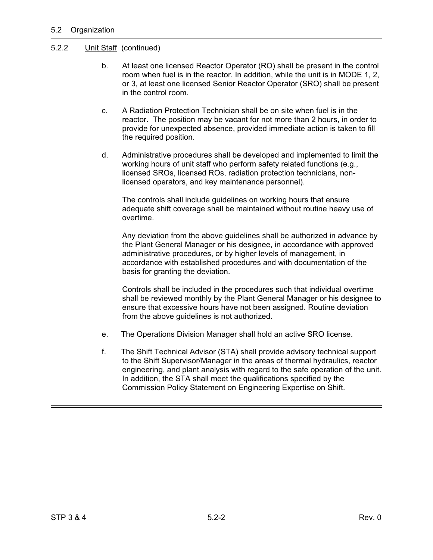## 5.2.2 Unit Staff (continued)

- b. At least one licensed Reactor Operator (RO) shall be present in the control room when fuel is in the reactor. In addition, while the unit is in MODE 1, 2, or 3, at least one licensed Senior Reactor Operator (SRO) shall be present in the control room.
- c. A Radiation Protection Technician shall be on site when fuel is in the reactor. The position may be vacant for not more than 2 hours, in order to provide for unexpected absence, provided immediate action is taken to fill the required position.
- d. Administrative procedures shall be developed and implemented to limit the working hours of unit staff who perform safety related functions (e.g., licensed SROs, licensed ROs, radiation protection technicians, nonlicensed operators, and key maintenance personnel).

 The controls shall include guidelines on working hours that ensure adequate shift coverage shall be maintained without routine heavy use of overtime.

 Any deviation from the above guidelines shall be authorized in advance by the Plant General Manager or his designee, in accordance with approved administrative procedures, or by higher levels of management, in accordance with established procedures and with documentation of the basis for granting the deviation.

Controls shall be included in the procedures such that individual overtime shall be reviewed monthly by the Plant General Manager or his designee to ensure that excessive hours have not been assigned. Routine deviation from the above guidelines is not authorized.

- e. The Operations Division Manager shall hold an active SRO license.
- f. The Shift Technical Advisor (STA) shall provide advisory technical support to the Shift Supervisor/Manager in the areas of thermal hydraulics, reactor engineering, and plant analysis with regard to the safe operation of the unit. In addition, the STA shall meet the qualifications specified by the Commission Policy Statement on Engineering Expertise on Shift.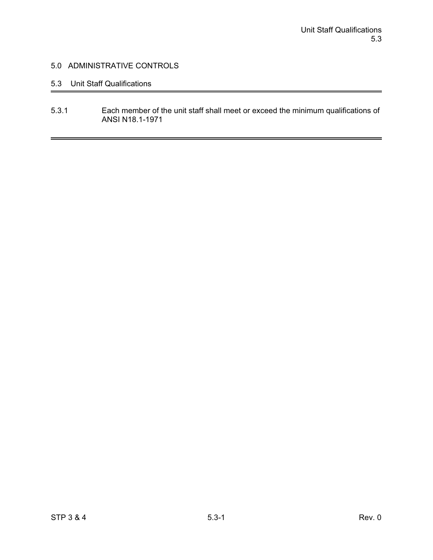## 5.3 Unit Staff Qualifications

5.3.1 Each member of the unit staff shall meet or exceed the minimum qualifications of ANSI N18.1-1971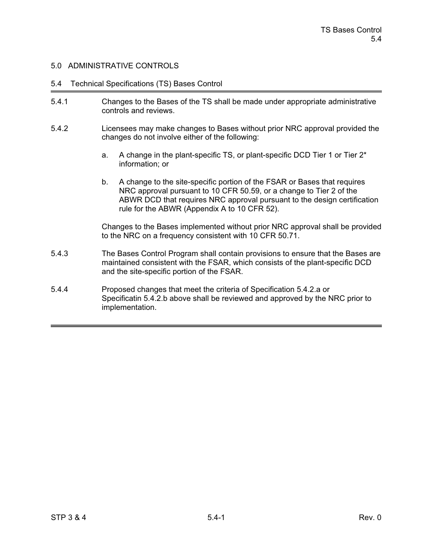#### 5.4 Technical Specifications (TS) Bases Control

- 5.4.1 Changes to the Bases of the TS shall be made under appropriate administrative controls and reviews.
- 5.4.2 Licensees may make changes to Bases without prior NRC approval provided the changes do not involve either of the following:
	- a. A change in the plant-specific TS, or plant-specific DCD Tier 1 or Tier 2\* information; or
	- b. A change to the site-specific portion of the FSAR or Bases that requires NRC approval pursuant to 10 CFR 50.59, or a change to Tier 2 of the ABWR DCD that requires NRC approval pursuant to the design certification rule for the ABWR (Appendix A to 10 CFR 52).

Changes to the Bases implemented without prior NRC approval shall be provided to the NRC on a frequency consistent with 10 CFR 50.71.

- 5.4.3 The Bases Control Program shall contain provisions to ensure that the Bases are maintained consistent with the FSAR, which consists of the plant-specific DCD and the site-specific portion of the FSAR.
- 5.4.4 Proposed changes that meet the criteria of Specification 5.4.2.a or Specificatin 5.4.2.b above shall be reviewed and approved by the NRC prior to implementation.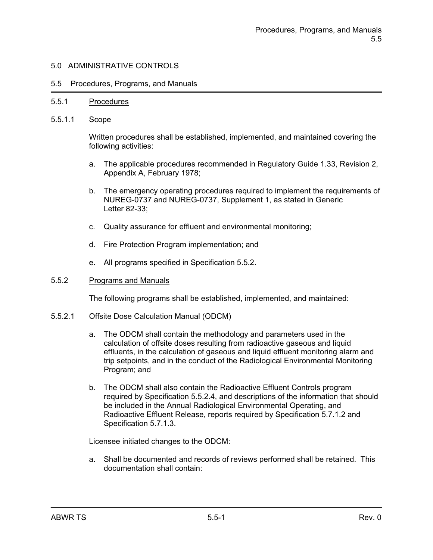#### 5.5 Procedures, Programs, and Manuals

#### 5.5.1 Procedures

5.5.1.1 Scope

Written procedures shall be established, implemented, and maintained covering the following activities:

- a. The applicable procedures recommended in Regulatory Guide 1.33, Revision 2, Appendix A, February 1978;
- b. The emergency operating procedures required to implement the requirements of NUREG-0737 and NUREG-0737, Supplement 1, as stated in Generic Letter 82-33;
- c. Quality assurance for effluent and environmental monitoring;
- d. Fire Protection Program implementation; and
- e. All programs specified in Specification 5.5.2.

#### 5.5.2 Programs and Manuals

The following programs shall be established, implemented, and maintained:

- 5.5.2.1 Offsite Dose Calculation Manual (ODCM)
	- a. The ODCM shall contain the methodology and parameters used in the calculation of offsite doses resulting from radioactive gaseous and liquid effluents, in the calculation of gaseous and liquid effluent monitoring alarm and trip setpoints, and in the conduct of the Radiological Environmental Monitoring Program; and
	- b. The ODCM shall also contain the Radioactive Effluent Controls program required by Specification 5.5.2.4, and descriptions of the information that should be included in the Annual Radiological Environmental Operating, and Radioactive Effluent Release, reports required by Specification 5.7.1.2 and Specification 5.7.1.3.

Licensee initiated changes to the ODCM:

a. Shall be documented and records of reviews performed shall be retained. This documentation shall contain: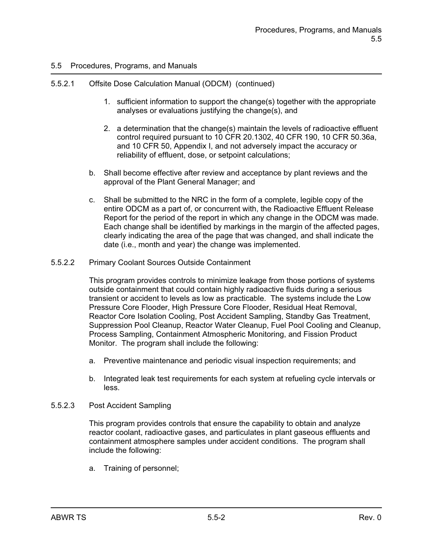## 5.5.2.1 Offsite Dose Calculation Manual (ODCM) (continued)

- 1. sufficient information to support the change(s) together with the appropriate analyses or evaluations justifying the change(s), and
- 2. a determination that the change(s) maintain the levels of radioactive effluent control required pursuant to 10 CFR 20.1302, 40 CFR 190, 10 CFR 50.36a, and 10 CFR 50, Appendix I, and not adversely impact the accuracy or reliability of effluent, dose, or setpoint calculations;
- b. Shall become effective after review and acceptance by plant reviews and the approval of the Plant General Manager; and
- c. Shall be submitted to the NRC in the form of a complete, legible copy of the entire ODCM as a part of, or concurrent with, the Radioactive Effluent Release Report for the period of the report in which any change in the ODCM was made. Each change shall be identified by markings in the margin of the affected pages, clearly indicating the area of the page that was changed, and shall indicate the date (i.e., month and year) the change was implemented.
- 5.5.2.2 Primary Coolant Sources Outside Containment

This program provides controls to minimize leakage from those portions of systems outside containment that could contain highly radioactive fluids during a serious transient or accident to levels as low as practicable. The systems include the Low Pressure Core Flooder, High Pressure Core Flooder, Residual Heat Removal, Reactor Core Isolation Cooling, Post Accident Sampling, Standby Gas Treatment, Suppression Pool Cleanup, Reactor Water Cleanup, Fuel Pool Cooling and Cleanup, Process Sampling, Containment Atmospheric Monitoring, and Fission Product Monitor. The program shall include the following:

- a. Preventive maintenance and periodic visual inspection requirements; and
- b. Integrated leak test requirements for each system at refueling cycle intervals or less.
- 5.5.2.3 Post Accident Sampling

This program provides controls that ensure the capability to obtain and analyze reactor coolant, radioactive gases, and particulates in plant gaseous effluents and containment atmosphere samples under accident conditions. The program shall include the following:

a. Training of personnel;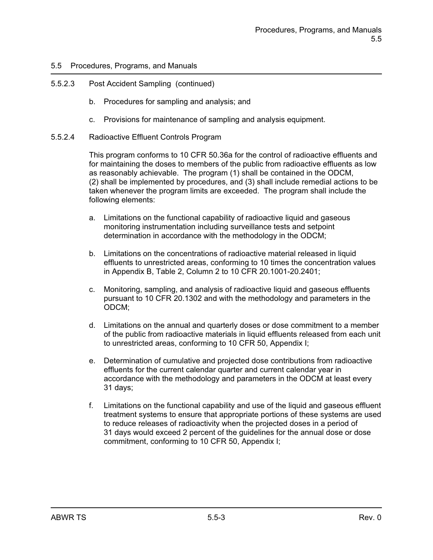## 5.5.2.3 Post Accident Sampling (continued)

- b. Procedures for sampling and analysis; and
- c. Provisions for maintenance of sampling and analysis equipment.
- 5.5.2.4 Radioactive Effluent Controls Program

This program conforms to 10 CFR 50.36a for the control of radioactive effluents and for maintaining the doses to members of the public from radioactive effluents as low as reasonably achievable. The program (1) shall be contained in the ODCM, (2) shall be implemented by procedures, and (3) shall include remedial actions to be taken whenever the program limits are exceeded. The program shall include the following elements:

- a. Limitations on the functional capability of radioactive liquid and gaseous monitoring instrumentation including surveillance tests and setpoint determination in accordance with the methodology in the ODCM;
- b. Limitations on the concentrations of radioactive material released in liquid effluents to unrestricted areas, conforming to 10 times the concentration values in Appendix B, Table 2, Column 2 to 10 CFR 20.1001-20.2401;
- c. Monitoring, sampling, and analysis of radioactive liquid and gaseous effluents pursuant to 10 CFR 20.1302 and with the methodology and parameters in the ODCM;
- d. Limitations on the annual and quarterly doses or dose commitment to a member of the public from radioactive materials in liquid effluents released from each unit to unrestricted areas, conforming to 10 CFR 50, Appendix I;
- e. Determination of cumulative and projected dose contributions from radioactive effluents for the current calendar quarter and current calendar year in accordance with the methodology and parameters in the ODCM at least every 31 days;
- f. Limitations on the functional capability and use of the liquid and gaseous effluent treatment systems to ensure that appropriate portions of these systems are used to reduce releases of radioactivity when the projected doses in a period of 31 days would exceed 2 percent of the guidelines for the annual dose or dose commitment, conforming to 10 CFR 50, Appendix I;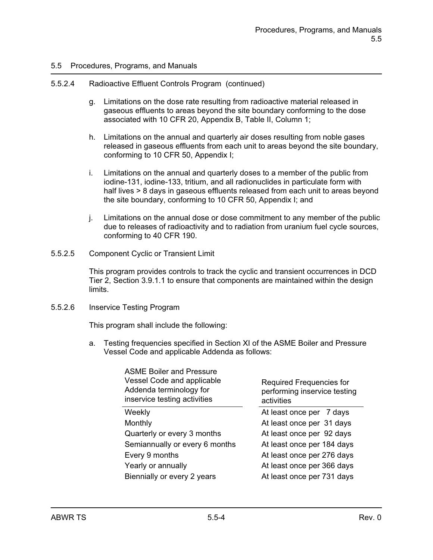#### 5.5.2.4 Radioactive Effluent Controls Program (continued)

- g. Limitations on the dose rate resulting from radioactive material released in gaseous effluents to areas beyond the site boundary conforming to the dose associated with 10 CFR 20, Appendix B, Table II, Column 1;
- h. Limitations on the annual and quarterly air doses resulting from noble gases released in gaseous effluents from each unit to areas beyond the site boundary, conforming to 10 CFR 50, Appendix I;
- i. Limitations on the annual and quarterly doses to a member of the public from iodine-131, iodine-133, tritium, and all radionuclides in particulate form with half lives > 8 days in gaseous effluents released from each unit to areas beyond the site boundary, conforming to 10 CFR 50, Appendix I; and
- j. Limitations on the annual dose or dose commitment to any member of the public due to releases of radioactivity and to radiation from uranium fuel cycle sources, conforming to 40 CFR 190.
- 5.5.2.5 Component Cyclic or Transient Limit

This program provides controls to track the cyclic and transient occurrences in DCD Tier 2, Section 3.9.1.1 to ensure that components are maintained within the design limits.

#### 5.5.2.6 Inservice Testing Program

This program shall include the following:

a. Testing frequencies specified in Section XI of the ASME Boiler and Pressure Vessel Code and applicable Addenda as follows:

| <b>ASME Boiler and Pressure</b><br>Vessel Code and applicable<br>Addenda terminology for<br>inservice testing activities | <b>Required Frequencies for</b><br>performing inservice testing<br>activities |
|--------------------------------------------------------------------------------------------------------------------------|-------------------------------------------------------------------------------|
| Weekly                                                                                                                   | At least once per 7 days                                                      |
| Monthly                                                                                                                  | At least once per 31 days                                                     |
| Quarterly or every 3 months                                                                                              | At least once per 92 days                                                     |
| Semiannually or every 6 months                                                                                           | At least once per 184 days                                                    |
| Every 9 months                                                                                                           | At least once per 276 days                                                    |
| Yearly or annually                                                                                                       | At least once per 366 days                                                    |
| Biennially or every 2 years                                                                                              | At least once per 731 days                                                    |
|                                                                                                                          |                                                                               |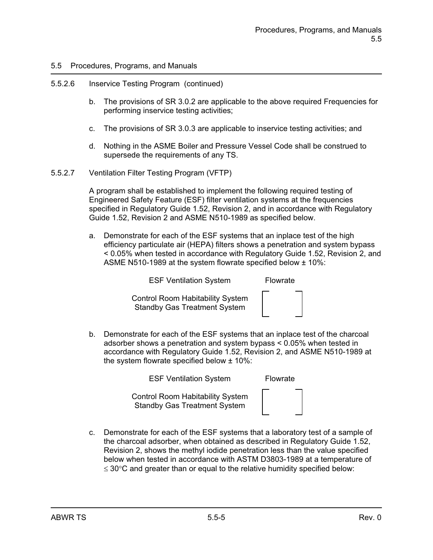## 5.5.2.6 Inservice Testing Program (continued)

- b. The provisions of SR 3.0.2 are applicable to the above required Frequencies for performing inservice testing activities;
- c. The provisions of SR 3.0.3 are applicable to inservice testing activities; and
- d. Nothing in the ASME Boiler and Pressure Vessel Code shall be construed to supersede the requirements of any TS.
- 5.5.2.7 Ventilation Filter Testing Program (VFTP)

A program shall be established to implement the following required testing of Engineered Safety Feature (ESF) filter ventilation systems at the frequencies specified in Regulatory Guide 1.52, Revision 2, and in accordance with Regulatory Guide 1.52, Revision 2 and ASME N510-1989 as specified below.

a. Demonstrate for each of the ESF systems that an inplace test of the high efficiency particulate air (HEPA) filters shows a penetration and system bypass < 0.05% when tested in accordance with Regulatory Guide 1.52, Revision 2, and ASME N510-1989 at the system flowrate specified below ± 10%:

ESF Ventilation System Flowrate

 Control Room Habitability System Standby Gas Treatment System



b. Demonstrate for each of the ESF systems that an inplace test of the charcoal adsorber shows a penetration and system bypass < 0.05% when tested in accordance with Regulatory Guide 1.52, Revision 2, and ASME N510-1989 at the system flowrate specified below ± 10%:

ESF Ventilation System Flowrate

 Control Room Habitability System Standby Gas Treatment System

c. Demonstrate for each of the ESF systems that a laboratory test of a sample of the charcoal adsorber, when obtained as described in Regulatory Guide 1.52, Revision 2, shows the methyl iodide penetration less than the value specified below when tested in accordance with ASTM D3803-1989 at a temperature of  $\leq$  30 $\degree$ C and greater than or equal to the relative humidity specified below: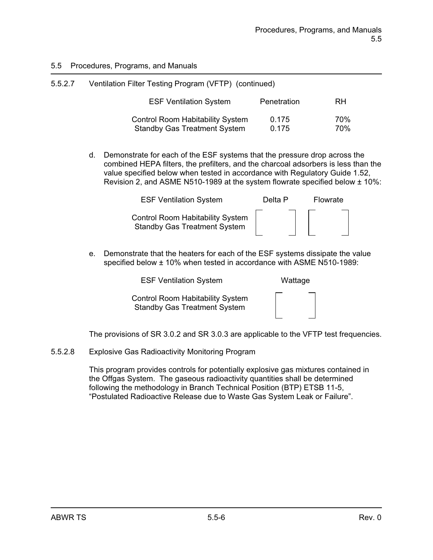| 5.5.2.7 | Ventilation Filter Testing Program (VFTP) (continued)                          |                |            |  |
|---------|--------------------------------------------------------------------------------|----------------|------------|--|
|         | <b>ESF Ventilation System</b>                                                  | Penetration    | RH         |  |
|         | <b>Control Room Habitability System</b><br><b>Standby Gas Treatment System</b> | 0.175<br>0.175 | 70%<br>70% |  |

d. Demonstrate for each of the ESF systems that the pressure drop across the combined HEPA filters, the prefilters, and the charcoal adsorbers is less than the value specified below when tested in accordance with Regulatory Guide 1.52, Revision 2, and ASME N510-1989 at the system flowrate specified below ± 10%:

| <b>ESF Ventilation System</b>                                                  | Delta P | Flowrate |
|--------------------------------------------------------------------------------|---------|----------|
| <b>Control Room Habitability System</b><br><b>Standby Gas Treatment System</b> |         |          |

e. Demonstrate that the heaters for each of the ESF systems dissipate the value specified below ± 10% when tested in accordance with ASME N510-1989:

ESF Ventilation System Wattage

 Control Room Habitability System Standby Gas Treatment System

| - |  |    |  |
|---|--|----|--|
|   |  |    |  |
|   |  |    |  |
|   |  |    |  |
|   |  |    |  |
|   |  |    |  |
|   |  |    |  |
| - |  | __ |  |
|   |  |    |  |

The provisions of SR 3.0.2 and SR 3.0.3 are applicable to the VFTP test frequencies.

5.5.2.8 Explosive Gas Radioactivity Monitoring Program

This program provides controls for potentially explosive gas mixtures contained in the Offgas System. The gaseous radioactivity quantities shall be determined following the methodology in Branch Technical Position (BTP) ETSB 11-5, "Postulated Radioactive Release due to Waste Gas System Leak or Failure".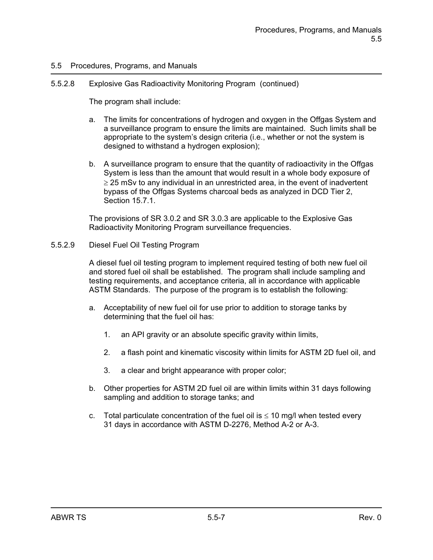### 5.5.2.8 Explosive Gas Radioactivity Monitoring Program (continued)

The program shall include:

- a. The limits for concentrations of hydrogen and oxygen in the Offgas System and a surveillance program to ensure the limits are maintained. Such limits shall be appropriate to the system's design criteria (i.e., whether or not the system is designed to withstand a hydrogen explosion);
- b. A surveillance program to ensure that the quantity of radioactivity in the Offgas System is less than the amount that would result in a whole body exposure of  $\geq$  25 mSv to any individual in an unrestricted area, in the event of inadvertent bypass of the Offgas Systems charcoal beds as analyzed in DCD Tier 2, Section 15.7.1.

The provisions of SR 3.0.2 and SR 3.0.3 are applicable to the Explosive Gas Radioactivity Monitoring Program surveillance frequencies.

### 5.5.2.9 Diesel Fuel Oil Testing Program

A diesel fuel oil testing program to implement required testing of both new fuel oil and stored fuel oil shall be established. The program shall include sampling and testing requirements, and acceptance criteria, all in accordance with applicable ASTM Standards. The purpose of the program is to establish the following:

- a. Acceptability of new fuel oil for use prior to addition to storage tanks by determining that the fuel oil has:
	- 1. an API gravity or an absolute specific gravity within limits,
	- 2. a flash point and kinematic viscosity within limits for ASTM 2D fuel oil, and
	- 3. a clear and bright appearance with proper color;
- b. Other properties for ASTM 2D fuel oil are within limits within 31 days following sampling and addition to storage tanks; and
- c. Total particulate concentration of the fuel oil is  $\leq 10$  mg/l when tested every 31 days in accordance with ASTM D-2276, Method A-2 or A-3.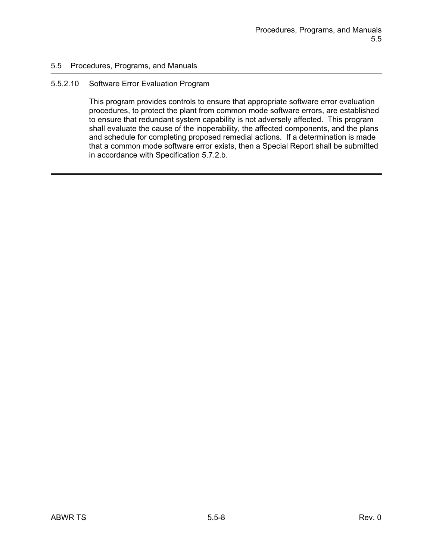### 5.5.2.10 Software Error Evaluation Program

This program provides controls to ensure that appropriate software error evaluation procedures, to protect the plant from common mode software errors, are established to ensure that redundant system capability is not adversely affected. This program shall evaluate the cause of the inoperability, the affected components, and the plans and schedule for completing proposed remedial actions. If a determination is made that a common mode software error exists, then a Special Report shall be submitted in accordance with Specification 5.7.2.b.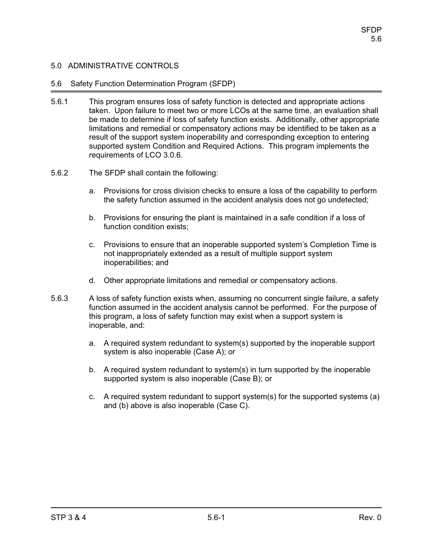## 5.6 Safety Function Determination Program (SFDP)

- 5.6.1 This program ensures loss of safety function is detected and appropriate actions taken. Upon failure to meet two or more LCOs at the same time, an evaluation shall be made to determine if loss of safety function exists. Additionally, other appropriate limitations and remedial or compensatory actions may be identified to be taken as a result of the support system inoperability and corresponding exception to entering supported system Condition and Required Actions. This program implements the requirements of LCO 3.0.6.
- 5.6.2 The SFDP shall contain the following:
	- a. Provisions for cross division checks to ensure a loss of the capability to perform the safety function assumed in the accident analysis does not go undetected;
	- b. Provisions for ensuring the plant is maintained in a safe condition if a loss of function condition exists;
	- c. Provisions to ensure that an inoperable supported system's Completion Time is not inappropriately extended as a result of multiple support system inoperabilities; and
	- d. Other appropriate limitations and remedial or compensatory actions.
- 5.6.3 A loss of safety function exists when, assuming no concurrent single failure, a safety function assumed in the accident analysis cannot be performed. For the purpose of this program, a loss of safety function may exist when a support system is inoperable, and:
	- a. A required system redundant to system(s) supported by the inoperable support system is also inoperable (Case A); or
	- b. A required system redundant to system(s) in turn supported by the inoperable supported system is also inoperable (Case B); or
	- c. A required system redundant to support system(s) for the supported systems (a) and (b) above is also inoperable (Case C).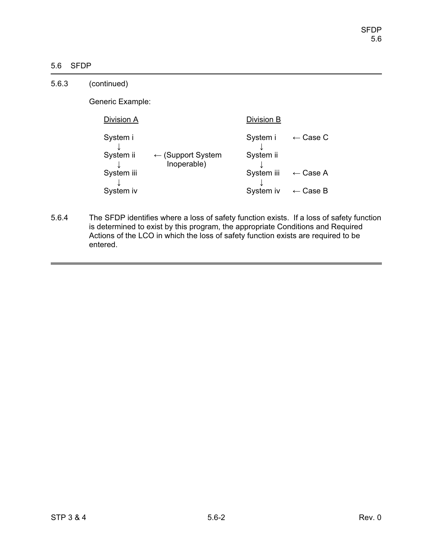## 5.6 SFDP

| 5.6.3 | (continued)           |                                             |                       |                        |
|-------|-----------------------|---------------------------------------------|-----------------------|------------------------|
|       | Generic Example:      |                                             |                       |                        |
|       | Division A            |                                             | Division B            |                        |
|       | System i<br>System ii | $\leftarrow$ (Support System<br>Inoperable) | System i<br>System ii | Case C<br>$\leftarrow$ |
|       | System iii            |                                             | System iii            | $\leftarrow$ Case A    |
|       | System iv             |                                             | System iv             | $\leftarrow$ Case B    |

5.6.4 The SFDP identifies where a loss of safety function exists. If a loss of safety function is determined to exist by this program, the appropriate Conditions and Required Actions of the LCO in which the loss of safety function exists are required to be entered.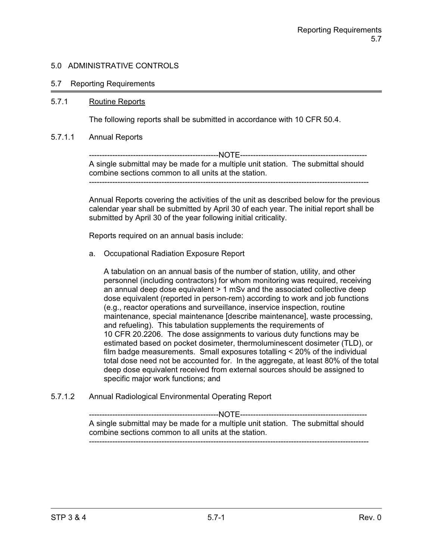### 5.7 Reporting Requirements

### 5.7.1 Routine Reports

The following reports shall be submitted in accordance with 10 CFR 50.4.

#### 5.7.1.1 Annual Reports

--------------------------------------------------NOTE------------------------------------------------- A single submittal may be made for a multiple unit station. The submittal should combine sections common to all units at the station. ------------------------------------------------------------------------------------------------------------

Annual Reports covering the activities of the unit as described below for the previous calendar year shall be submitted by April 30 of each year. The initial report shall be submitted by April 30 of the year following initial criticality.

Reports required on an annual basis include:

a. Occupational Radiation Exposure Report

A tabulation on an annual basis of the number of station, utility, and other personnel (including contractors) for whom monitoring was required, receiving an annual deep dose equivalent > 1 mSv and the associated collective deep dose equivalent (reported in person-rem) according to work and job functions (e.g., reactor operations and surveillance, inservice inspection, routine maintenance, special maintenance [describe maintenance], waste processing, and refueling). This tabulation supplements the requirements of 10 CFR 20.2206. The dose assignments to various duty functions may be estimated based on pocket dosimeter, thermoluminescent dosimeter (TLD), or film badge measurements. Small exposures totalling < 20% of the individual total dose need not be accounted for. In the aggregate, at least 80% of the total deep dose equivalent received from external sources should be assigned to specific major work functions; and

5.7.1.2 Annual Radiological Environmental Operating Report

--------------------------------------------------NOTE------------------------------------------------- A single submittal may be made for a multiple unit station. The submittal should combine sections common to all units at the station. ------------------------------------------------------------------------------------------------------------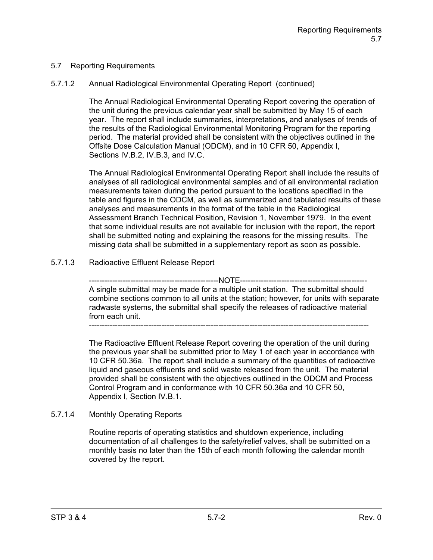## 5.7 Reporting Requirements

# 5.7.1.2 Annual Radiological Environmental Operating Report (continued)

The Annual Radiological Environmental Operating Report covering the operation of the unit during the previous calendar year shall be submitted by May 15 of each year. The report shall include summaries, interpretations, and analyses of trends of the results of the Radiological Environmental Monitoring Program for the reporting period. The material provided shall be consistent with the objectives outlined in the Offsite Dose Calculation Manual (ODCM), and in 10 CFR 50, Appendix I, Sections IV.B.2, IV.B.3, and IV.C.

The Annual Radiological Environmental Operating Report shall include the results of analyses of all radiological environmental samples and of all environmental radiation measurements taken during the period pursuant to the locations specified in the table and figures in the ODCM, as well as summarized and tabulated results of these analyses and measurements in the format of the table in the Radiological Assessment Branch Technical Position, Revision 1, November 1979. In the event that some individual results are not available for inclusion with the report, the report shall be submitted noting and explaining the reasons for the missing results. The missing data shall be submitted in a supplementary report as soon as possible.

## 5.7.1.3 Radioactive Effluent Release Report

--------------NOTE------------

A single submittal may be made for a multiple unit station. The submittal should combine sections common to all units at the station; however, for units with separate radwaste systems, the submittal shall specify the releases of radioactive material from each unit.

------------------------------------------------------------------------------------------------------------

The Radioactive Effluent Release Report covering the operation of the unit during the previous year shall be submitted prior to May 1 of each year in accordance with 10 CFR 50.36a. The report shall include a summary of the quantities of radioactive liquid and gaseous effluents and solid waste released from the unit. The material provided shall be consistent with the objectives outlined in the ODCM and Process Control Program and in conformance with 10 CFR 50.36a and 10 CFR 50, Appendix I, Section IV.B.1.

# 5.7.1.4 Monthly Operating Reports

Routine reports of operating statistics and shutdown experience, including documentation of all challenges to the safety/relief valves, shall be submitted on a monthly basis no later than the 15th of each month following the calendar month covered by the report.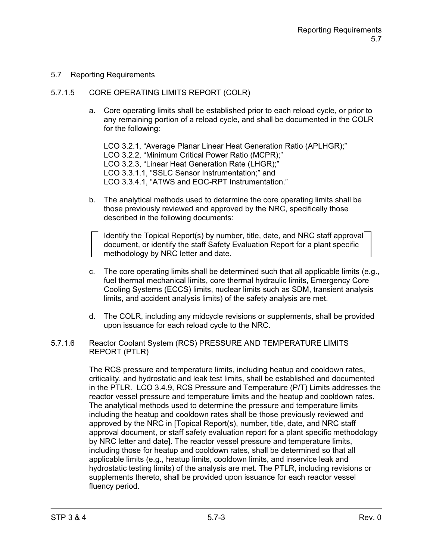## 5.7 Reporting Requirements

## 5.7.1.5 CORE OPERATING LIMITS REPORT (COLR)

a. Core operating limits shall be established prior to each reload cycle, or prior to any remaining portion of a reload cycle, and shall be documented in the COLR for the following:

LCO 3.2.1, "Average Planar Linear Heat Generation Ratio (APLHGR);" LCO 3.2.2, "Minimum Critical Power Ratio (MCPR);" LCO 3.2.3, "Linear Heat Generation Rate (LHGR);" LCO 3.3.1.1, "SSLC Sensor Instrumentation;" and LCO 3.3.4.1, "ATWS and EOC-RPT Instrumentation."

b. The analytical methods used to determine the core operating limits shall be those previously reviewed and approved by the NRC, specifically those described in the following documents:

Identify the Topical Report(s) by number, title, date, and NRC staff approval document, or identify the staff Safety Evaluation Report for a plant specific methodology by NRC letter and date.

- c. The core operating limits shall be determined such that all applicable limits (e.g., fuel thermal mechanical limits, core thermal hydraulic limits, Emergency Core Cooling Systems (ECCS) limits, nuclear limits such as SDM, transient analysis limits, and accident analysis limits) of the safety analysis are met.
- d. The COLR, including any midcycle revisions or supplements, shall be provided upon issuance for each reload cycle to the NRC.

### 5.7.1.6 Reactor Coolant System (RCS) PRESSURE AND TEMPERATURE LIMITS REPORT (PTLR)

The RCS pressure and temperature limits, including heatup and cooldown rates, criticality, and hydrostatic and leak test limits, shall be established and documented in the PTLR. LCO 3.4.9, RCS Pressure and Temperature (P/T) Limits addresses the reactor vessel pressure and temperature limits and the heatup and cooldown rates. The analytical methods used to determine the pressure and temperature limits including the heatup and cooldown rates shall be those previously reviewed and approved by the NRC in [Topical Report(s), number, title, date, and NRC staff approval document, or staff safety evaluation report for a plant specific methodology by NRC letter and date]. The reactor vessel pressure and temperature limits, including those for heatup and cooldown rates, shall be determined so that all applicable limits (e.g., heatup limits, cooldown limits, and inservice leak and hydrostatic testing limits) of the analysis are met. The PTLR, including revisions or supplements thereto, shall be provided upon issuance for each reactor vessel fluency period.